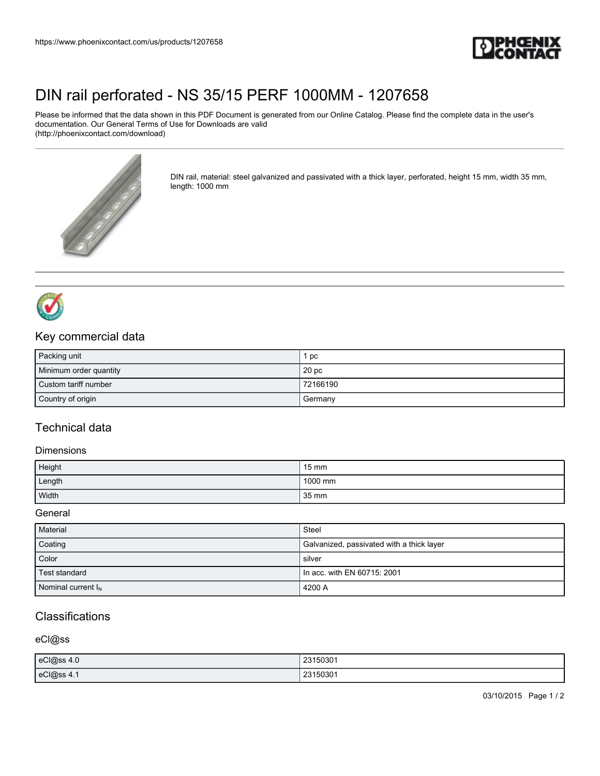

# [DIN rail perforated - NS 35/15 PERF 1000MM - 1207658](https://www.phoenixcontact.com/us/products/1207658)

Please be informed that the data shown in this PDF Document is generated from our Online Catalog. Please find the complete data in the user's documentation. Our General Terms of Use for Downloads are valid (http://phoenixcontact.com/download)



DIN rail, material: steel galvanized and passivated with a thick layer, perforated, height 15 mm, width 35 mm, length: 1000 mm



### Key commercial data

| Packing unit           | pc               |
|------------------------|------------------|
| Minimum order quantity | 20 <sub>pc</sub> |
| Custom tariff number   | 72166190         |
| Country of origin      | Germany          |

## Technical data

#### **Dimensions**

| Height | $15 \text{ mm}$ |
|--------|-----------------|
| Length | 1000 mm         |
| Width  | 35 mm           |

### General

| Material              | Steel                                     |
|-----------------------|-------------------------------------------|
| Coating               | Galvanized, passivated with a thick layer |
| Color                 | silver                                    |
| Test standard         | In acc. with EN 60715: 2001               |
| Nominal current $I_N$ | 4200 A                                    |

## **Classifications**

### eCl@ss

| eCl@ss 4.0 | 23150301 |
|------------|----------|
| eCl@ss 4.1 | 23150301 |